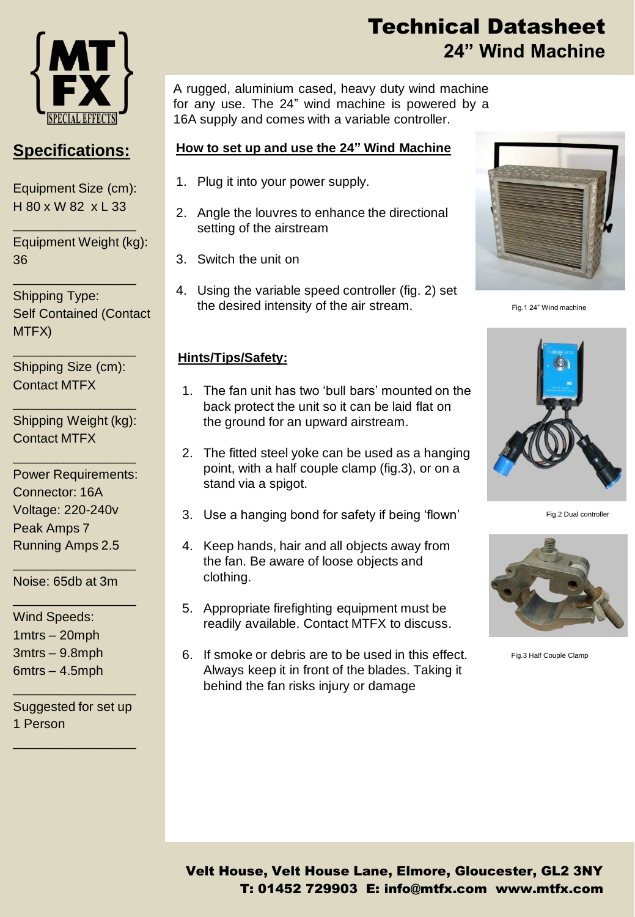

## **Specifications:**

Equipment Size (cm): H 80 x W 82 x L 33

\_\_\_\_\_\_\_\_\_\_\_\_\_\_\_\_\_

\_\_\_\_\_\_\_\_\_\_\_\_\_\_\_\_\_

Equipment Weight (kg): 36

Shipping Type: Self Contained (Contact MTFX)

Shipping Size (cm): Contact MTFX

\_\_\_\_\_\_\_\_\_\_\_\_\_\_\_\_\_

Shipping Weight (kg): Contact MTFX

\_\_\_\_\_\_\_\_\_\_\_\_\_\_\_\_\_

\_\_\_\_\_\_\_\_\_\_\_\_\_\_\_\_\_

Power Requirements: Connector: 16A Voltage: 220-240v Peak Amps 7 Running Amps 2.5

\_\_\_\_\_\_\_\_\_\_\_\_\_\_\_\_\_

\_\_\_\_\_\_\_\_\_\_\_\_\_\_\_\_\_

Noise: 65db at 3m

Wind Speeds: 1mtrs – 20mph 3mtrs – 9.8mph 6mtrs – 4.5mph

Suggested for set up 1 Person

\_\_\_\_\_\_\_\_\_\_\_\_\_\_\_\_\_

\_\_\_\_\_\_\_\_\_\_\_\_\_\_\_\_\_

# Technical Datasheet **24" Wind Machine**

A rugged, aluminium cased, heavy duty wind machine for any use. The 24" wind machine is powered by a 16A supply and comes with a variable controller.

#### **How to set up and use the 24" Wind Machine**

- 1. Plug it into your power supply.
- 2. Angle the louvres to enhance the directional setting of the airstream
- 3. Switch the unit on
- 4. Using the variable speed controller (fig. 2) set the desired intensity of the air stream.

#### **Hints/Tips/Safety:**

- 1. The fan unit has two 'bull bars' mounted on the back protect the unit so it can be laid flat on the ground for an upward airstream.
- 2. The fitted steel yoke can be used as a hanging point, with a half couple clamp (fig.3), or on a stand via a spigot.
- 3. Use a hanging bond for safety if being 'flown'
- 4. Keep hands, hair and all objects away from the fan. Be aware of loose objects and clothing.
- 5. Appropriate firefighting equipment must be readily available. Contact MTFX to discuss.
- 6. If smoke or debris are to be used in this effect. Always keep it in front of the blades. Taking it behind the fan risks injury or damage



Fig.1 24" Wind machine



Fig.2 Dual controller



Fig.3 Half Couple Clamp